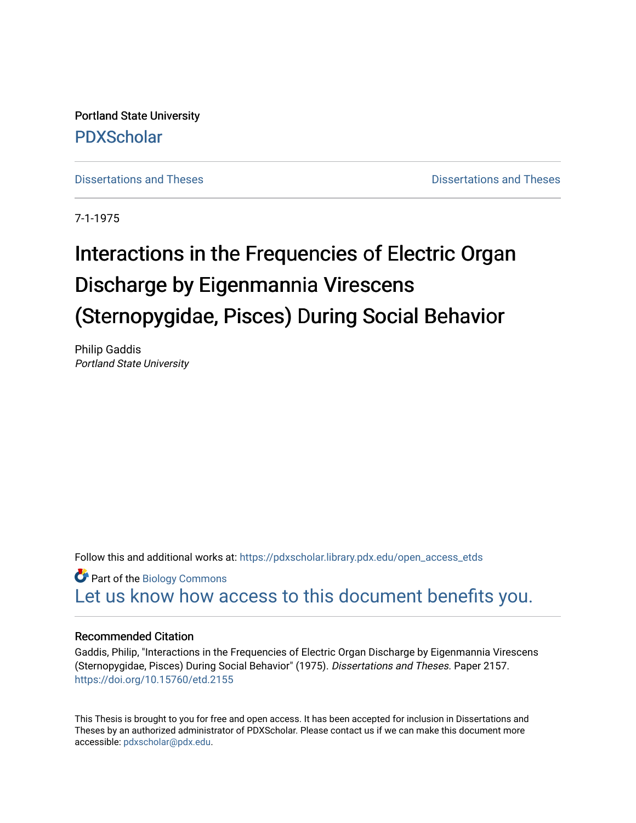Portland State University [PDXScholar](https://pdxscholar.library.pdx.edu/)

[Dissertations and Theses](https://pdxscholar.library.pdx.edu/open_access_etds) **Dissertations** and Theses **Dissertations and Theses** 

7-1-1975

# Interactions in the Frequencies of Electric Organ Discharge by Eigenmannia Virescens (Sternopygidae, Pisces) During Social Behavior

Philip Gaddis Portland State University

Follow this and additional works at: [https://pdxscholar.library.pdx.edu/open\\_access\\_etds](https://pdxscholar.library.pdx.edu/open_access_etds?utm_source=pdxscholar.library.pdx.edu%2Fopen_access_etds%2F2157&utm_medium=PDF&utm_campaign=PDFCoverPages)

Part of the [Biology Commons](http://network.bepress.com/hgg/discipline/41?utm_source=pdxscholar.library.pdx.edu%2Fopen_access_etds%2F2157&utm_medium=PDF&utm_campaign=PDFCoverPages)  [Let us know how access to this document benefits you.](http://library.pdx.edu/services/pdxscholar-services/pdxscholar-feedback/) 

## Recommended Citation

Gaddis, Philip, "Interactions in the Frequencies of Electric Organ Discharge by Eigenmannia Virescens (Sternopygidae, Pisces) During Social Behavior" (1975). Dissertations and Theses. Paper 2157. <https://doi.org/10.15760/etd.2155>

This Thesis is brought to you for free and open access. It has been accepted for inclusion in Dissertations and Theses by an authorized administrator of PDXScholar. Please contact us if we can make this document more accessible: [pdxscholar@pdx.edu.](mailto:pdxscholar@pdx.edu)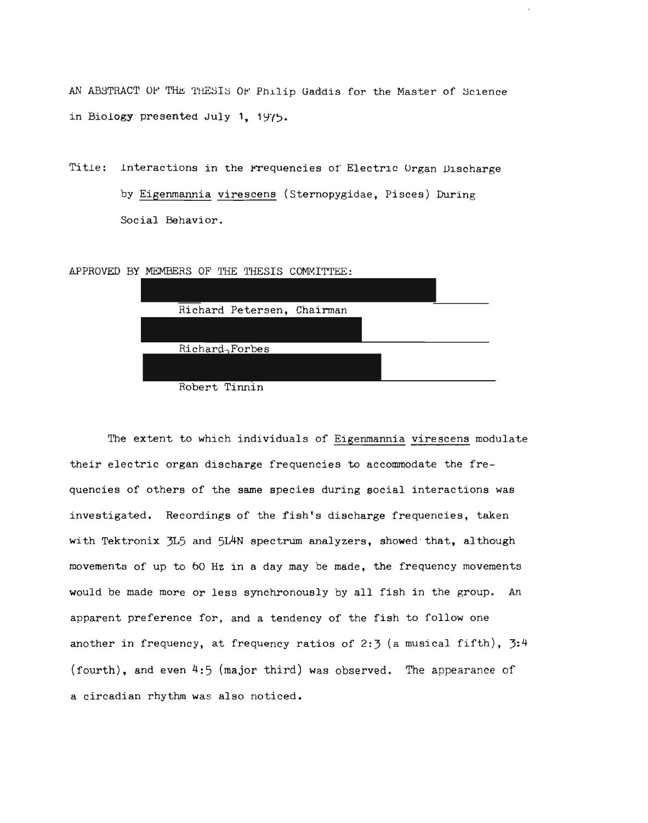| AN ABSTRACT OF THE THESIS OF Philip Gaddis for the Master of Science |
|----------------------------------------------------------------------|
| in Biology presented July 1, 1975.                                   |
|                                                                      |
| Interactions in the Frequencies of Electric Organ Discharge          |
| by Eigenmannia virescens (Sternopygidae, Pisces) During              |
| Social Behavior.                                                     |
|                                                                      |
| APPROVED BY MEMBERS OF THE THESIS COMMITTEE:                         |
|                                                                      |
| Richard Petersen, Chairman                                           |
| Richard, Forbes                                                      |
|                                                                      |
| Robert Tinnin                                                        |
|                                                                      |
| The extent to which individuals of Eigenmannia virescens modula      |
| their electric organ discharge frequencies to accommodate the fre-   |

The extent to which individuals of Eigenmannia virescens modulate their electric organ discharge frequencies to accommodate the frequencies of others of the same species during social interactions was investigated. Recordings of the fish's discharge frequencies, taken with Tektronix 3L5 and *5IAN* spectrum analyzers, showed"that, although movements of up to 60 Hz in a day may be made, the frequency movements would be made more or less synchronously by all fish in the group. An apparent preference for, and a tendency of the fish to follow one another in frequency, at frequency ratios of 2:3 (a musical fifth),  $3:4$ (fourth), and even 4:5 (major third) was observed. The appearance of a circadian rhythm was also noticed. of others of the same species during s<br>ted. Recordings of the fish's dischar<br>ronix 3L5 and 5L4N spectrum analyzers,<br>of up to 60 Hz in a day may be made,<br>nade more or less synchronously by all<br>preference for, and a tendency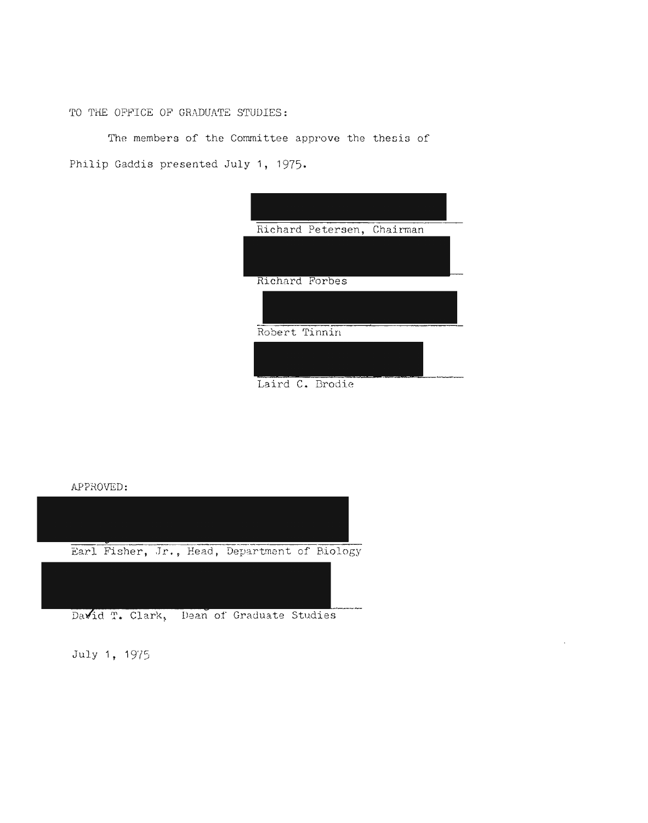TO THE OFFICE OF GRADUATE STUDIES:

The members of the Committee approve the thesis of Philip Gaddis presented July **1,** 1975.

| Richard Petersen, Chairman |  |  |
|----------------------------|--|--|
|                            |  |  |
| Richard Forbes             |  |  |
|                            |  |  |
| Robert Tinnin              |  |  |
|                            |  |  |
| Laird C. Brodie            |  |  |

APPROVED: APPROVED:



July 1, 1975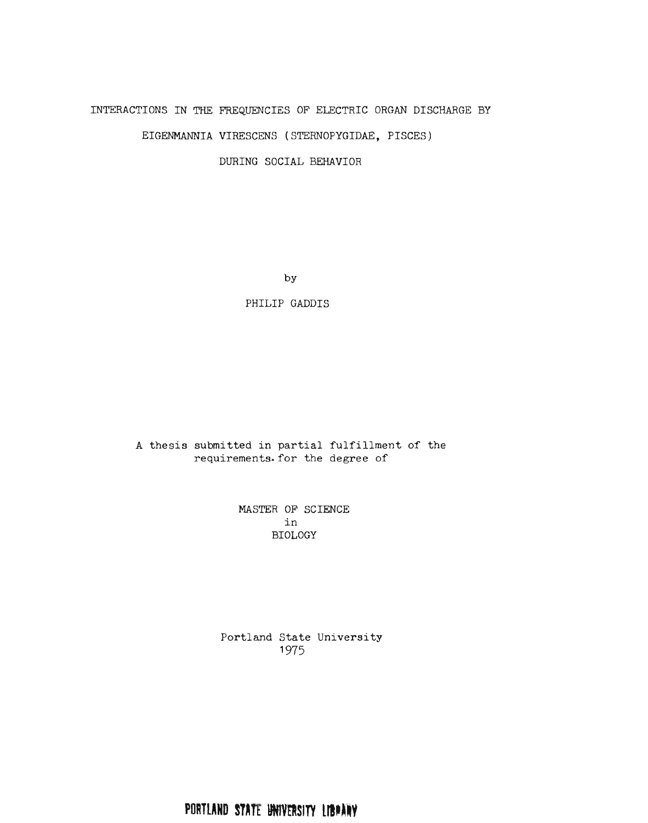# INTERACTIONS IN THE FREQUENCIES OF ELECTRIC ORGAN DISCHARGE BY

EIGENMANNIA VIRESCENS (STERNOPYGIDAE, PISCES)

DURING SOCIAL BEHAVIOR

by

PHILIP GADDIS

A thesis submitted in partial fulfillment of the requirements. for the degree of

> MASTER OF SCIENCE in BIOLOGY

Portland State University 1975

PORTLAND STATE UNIVERSITY LIBRARY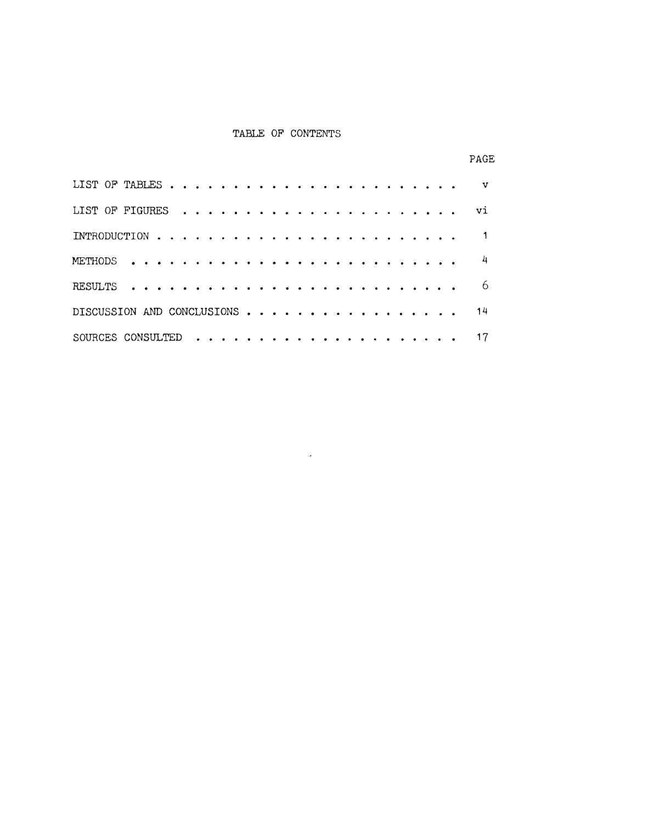#### TABLE OF CONTENTS

|                            |  |  |  |  |  |  |  |  |  |  |  |  |  | vi              |
|----------------------------|--|--|--|--|--|--|--|--|--|--|--|--|--|-----------------|
|                            |  |  |  |  |  |  |  |  |  |  |  |  |  |                 |
|                            |  |  |  |  |  |  |  |  |  |  |  |  |  |                 |
|                            |  |  |  |  |  |  |  |  |  |  |  |  |  | -6              |
| DISCUSSION AND CONCLUSIONS |  |  |  |  |  |  |  |  |  |  |  |  |  |                 |
|                            |  |  |  |  |  |  |  |  |  |  |  |  |  | $\overline{17}$ |

 $\sim 10^{-1}$ 

## PAGE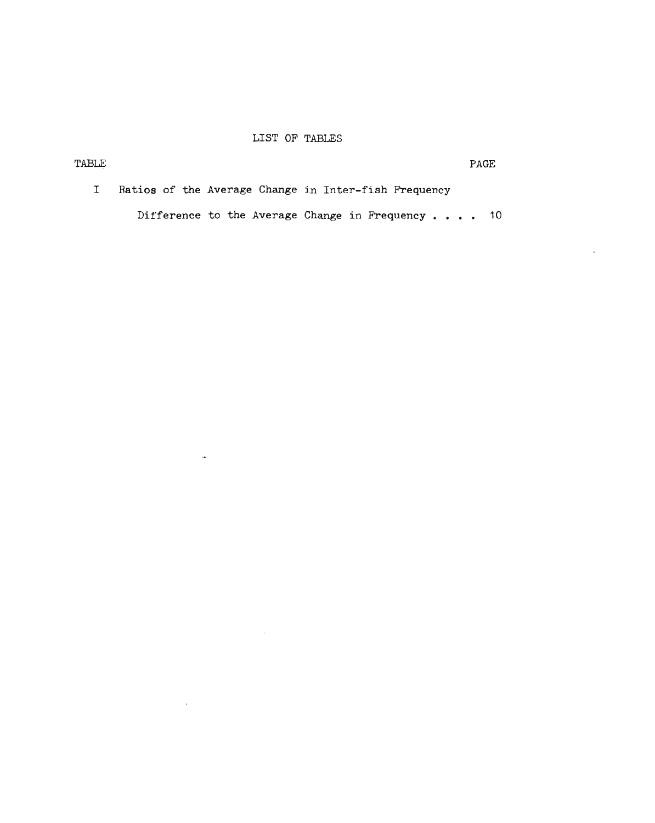# LIST OF TABLES

 $\langle \cdot \rangle$ 

|  | Ratios of the Average Change in Inter-fish Frequency   |  |
|--|--------------------------------------------------------|--|
|  | Difference to the Average Change in Frequency $\ldots$ |  |

 $\sim 100$ 

 $\mathcal{L}^{\text{max}}_{\text{max}}$  and  $\mathcal{L}^{\text{max}}_{\text{max}}$ 

 $\mathcal{L}(\mathcal{L}^{\text{max}})$  . The  $\mathcal{L}(\mathcal{L}^{\text{max}})$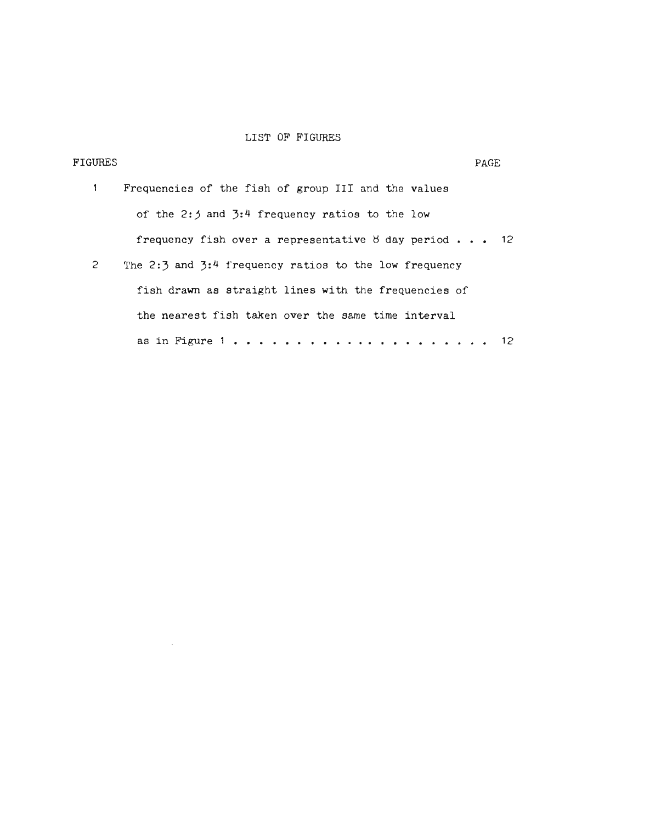## LIST OF FIGURES

| FIGURES |                                                               | PAGE |
|---------|---------------------------------------------------------------|------|
| 1       | Frequencies of the fish of group III and the values           |      |
|         | of the 2:3 and $3:4$ frequency ratios to the low              |      |
|         | frequency fish over a representative 8 day period $\ldots$ 12 |      |
| 2       | The 2:3 and 3:4 frequency ratios to the low frequency         |      |
|         | fish drawn as straight lines with the frequencies of          |      |
|         | the nearest fish taken over the same time interval            |      |
|         | as in Figure 1                                                |      |

 $\mathcal{L}^{\text{max}}_{\text{max}}$  and  $\mathcal{L}^{\text{max}}_{\text{max}}$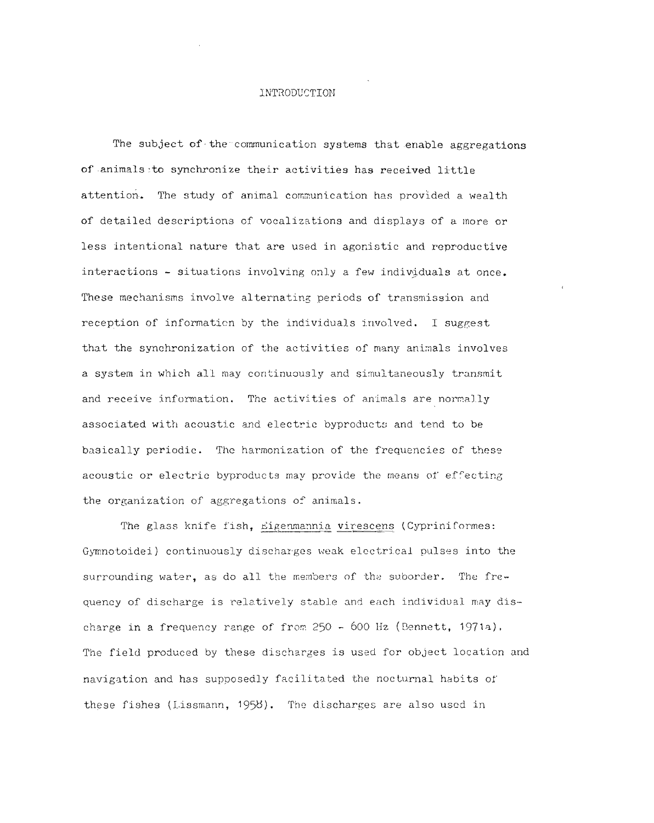## INTRODUCTION

The subject of the communication systems that enable aggregations of animals to synchronize their activities has received little attention. The study of animal communication has provided a wealth of detailed descriptions of vocalizations and displays of a Inore or less intentional nature that are used in agonistic and reproductive interactions - situations involving only a few individuals at once. These mechanisms involve alternating periods of transmission and reception of information by the individuals involved. I suggest that the synchronization of the activities of many animals involves a system in which all may continuously and simultaneously transmit and receive information. The activities of animals are normally associated with acoustic and electric byproducts and tend to be basically periodic. The harmonization of the frequencies of these ecoustic or electric byproducts may provide the means of effecting the organization of aggregations of animals. The subject of the communication systems that enable aggreg<br>of animals to synchronize their activities has received little<br>attention. The study of animal communication has provided a wea<br>of detailed descriptions of vocaliz that the synchronization of the activities of many animals involves<br>a system in which all may continuously and simultaneously transmit<br>and receive information. The activities of animals are normally<br>associated with acousti

The glass knife fish, Eigenmannia virescens (Cypriniformes: the organization of aggregations of animals.<br>The glass knife fish, <u>Eigenmannia virescens</u> (Cypriniformes:<br>Gymnotoidei) continuously discharges weak electrical pulses into the surrounding water, as do all the members of the suborder. The fre-Gymnotoidei) continuously discharges weak electrical pulses into the<br>surrounding water, as do all the members of the suborder. The fre-<br>quency of discharge is relatively stable and each individual may discharge in a frequency range of from  $250$  - 600 Hz (Bennett, 1971a). The field produced by these discharges is used for object location and navigation and has supposedly facilitated the nocturnal habits of these fishes (Lissmann, 1958). The discharges are also used in The field produced by these discharges is used for object location .<br>havigation and has supposedly facilitated the nocturnal habits of<br>these fishes (Lissmann, 1958). The discharges are also used in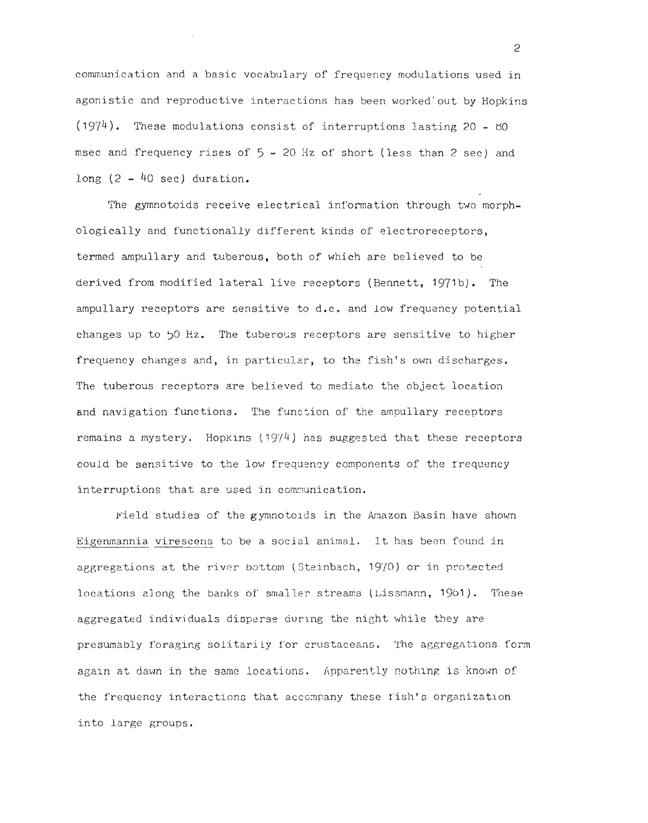communication and a basic vocabulary of frequency modulations used in agonistic and reproductive interactions has been worked'out by Hopkins  $(1974)$ . These modulations consist of interruptions lasting 20 - 80 msec and frequency rises of  $5 - 20$  Hz of short (less than 2 sec) and long  $(2 - 40 \text{ sec})$  duration. communication and a basic vocabulary of frequency modulations understand reproductive interactions has been worked out by<br>(1974). These modulations consist of interruptions lasting 20<br>msec and frequency rises of 5 - 20 Hz

The gymnotoids receive electrical information through two morphologically and functionally different kinds of electroreceptors,<br>termed ampullary and tuberous, both of which are believed to be termed ampullary and tuberous, both of which are believed to be derived from modified lateral live receptors (Bennett, 1971b). The ampullary receptors are sensitive to d.c. and low frequency potential changes up to  $50$  Hz. The tuberous receptors are sensitive to higher frequency changes and, in particular, to the fish's own discharges. The tuberous receptors are believed to mediate the object location and navigation functions. The function of the ampullary receptors remains a mystery. Hopkins (1974) has suggested that these receptors could be sensitive to the low frequency components of the frequency interruptions that are used in communication.

uptions that are used in communication.<br>"ield studies of the gymnotoids in the Amazon Basin have shown Eigenmannia virescens to be a social animal. It has been found in Eigenmannia virescens to be a social animal. It has been found in<br>aggregations at the river bottom (Steinbach, 1970) or in protected locations along the banks of smaller streams (Lissmann, 1961). These aggregated individuals disperse during the night while they are presumably foraging solitarily for crustaceans. The aggregations form again at dawn in the same locations. Apparently nothing is known of again at dawn in the same locations. Apparently nothing is known of<br>the frequency interactions that accompany these fish's organization into large groups . into large groups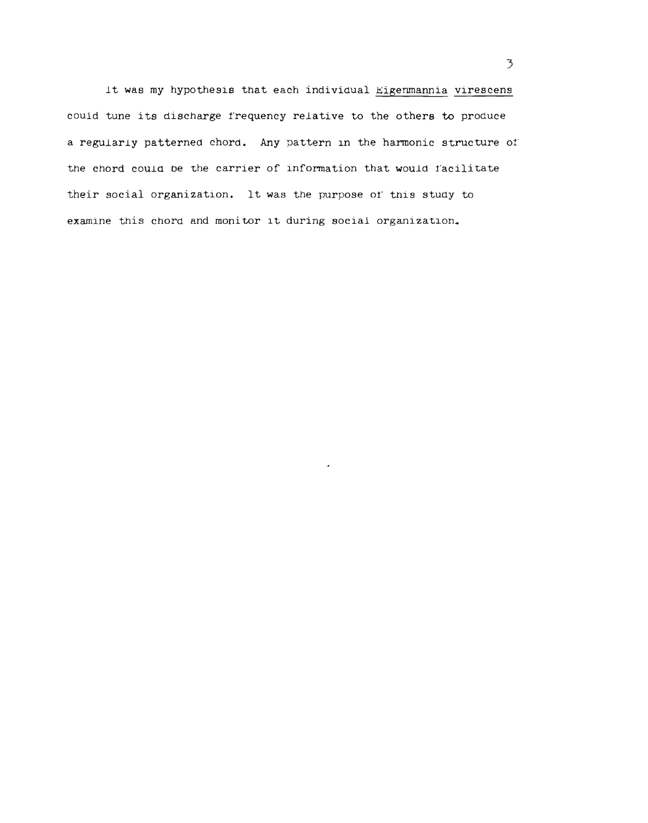It was my hypothesis that each individual Eigenmannia virescens could tune its discharge frequency relative to the others to produce a regularly patterned chord. Any pattern in the harmonic structure of the chord could be the carrier of information that would facilitate their social organization. It was the purpose of this study to examine this chord and monitor it during social organization. In the state of requency relative to the others to produce<br>regularly patterned chord. Any pattern in the harmonic structure of<br>end could be the carrier of information that would facilitate<br>eir social organization. It was t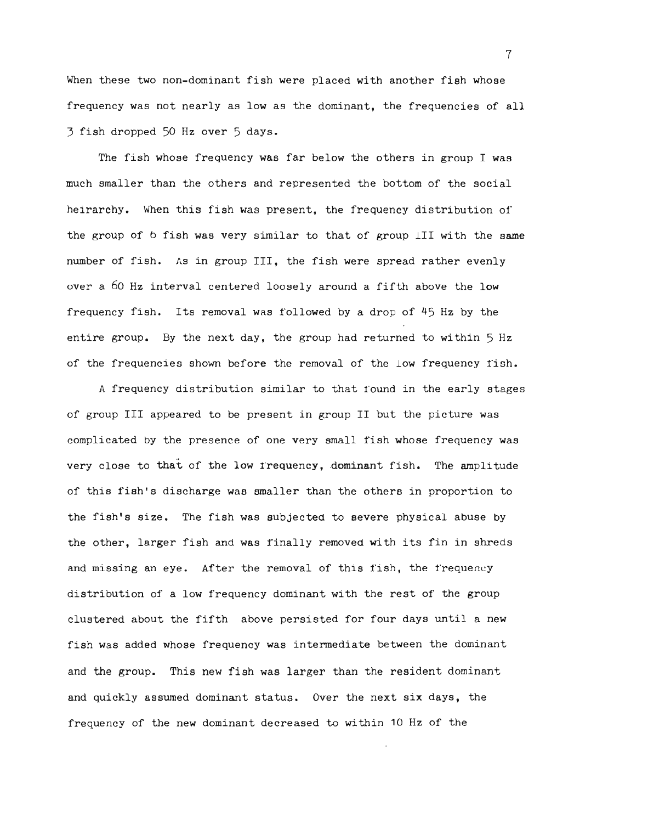When these two non-dominant fish were placed with another fish whose frequency was not nearly as low as the dominant, the frequencies of all 3 fish dropped 50 Hz over 5 days.

The fish whose frequency was far below the others in group I was much smaller than the others and represented the bottom of the social heirarchy. When this fish was present, the frequency distribution of the group of b fish was very similar to that of group 111 with the same number of fish. As in group III, the fish were spread rather evenly over a 60 Hz interval centered loosely around a fifth above the low frequency fish. Its removal was followed by a drop of 45 Hz by the entire group. By the next day, the group had returned to within 5 Hz of the frequencies shown before the removal of the low frequency fish. The fish whose frequency was far below the others in group I was<br>uch smaller than the others and represented the bottom of the social<br>beirarchy. When this fish was present, the frequency distribution of<br>the group of 6 fish

A frequency distribution similar to that round in the early stages of group III appeared to be present in group II but the picture was complicated by the presence of one very small fish whose frequency was very close to that of the low frequency, dominant fish. The amplitude of this fish's discharge was smaller than the others in proportion to the fish's size. The fish was subjected to severe physical abuse by the other, larger fish and was finally removed with its fin in shreds and missing an eye. After the removal of this fish, the frequency distribution of a low frequency dominant with the rest of the group clustered about the fifth above persisted for four days until a new fish was added whose frequency was intermediate between the dominant and the group. This new fish was larger than the resident dominant and quickly assumed dominant status. Over the next six days, the frequency of the new dominant decreased to within 10 Hz of the and the group. This new fish was larger than the resident dominand quickly assumed dominant status. Over the next six days, the requency of the new dominant decreased to within 10 Hz of the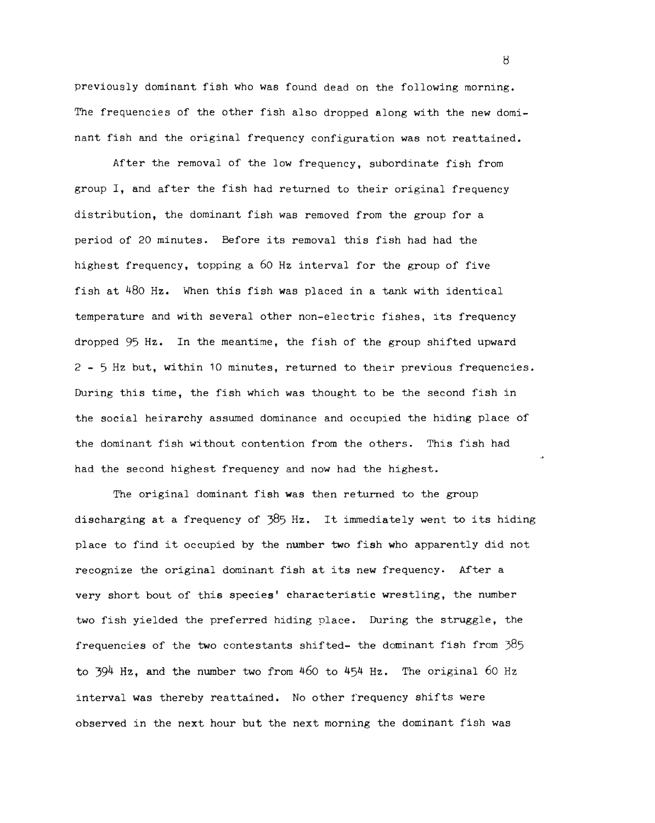previously dominant fish who was found dead on the following morning. The frequencies of the other fish also dropped along with the new dominant fish and the original frequency configuration was not reattained.

After the removal of the low frequency, subordinate fish from group I, and after the fish had returned to their original frequency distribution, the dominant fish was removed from the group for a period of 20 minutes. Before its removal this fish had had the highest frequency, topping a 60 Hz interval for the group of five fish at 480 Hz. When this fish was placed in a tank with identical temperature and with several other non-electric fishes, its frequency dropped 95 Hz. In the meantime, the fish of the group shifted upward 2 - 5 Hz but, within 10 minutes, returned to their previous frequencies. During this time, the fish which was thought to be the second fish in the social heirarchy assumed dominance and occupied the hiding place of the dominant fish without contention from the others. This fish had had the second highest frequency and now had the highest. minutes. Before its removal this fish had had the<br>aency, topping a 60 Hz interval for the group of five<br>iz. When this fish was placed in a tank with identic<br>and with several other non-electric fishes, its frequency.<br>In th

The original dominant fish was then returned to the group discharging at a frequency of 385 Hz. It immediately went to its hiding place to find it occupied by the number two fish who apparently did not recognize the original dominant fish at its new frequency. After a very short bout of this species' characteristic wrestling, the number two fish yielded the preferred hiding place. During the struggle, the frequencies of the two contestants shifted- the dominant fish from 385 to  $394$  Hz, and the number two from  $460$  to  $454$  Hz. The original 60 Hz interval was thereby reattained. No other frequency shifts were observed in the next hour but the next morning the dominant fish was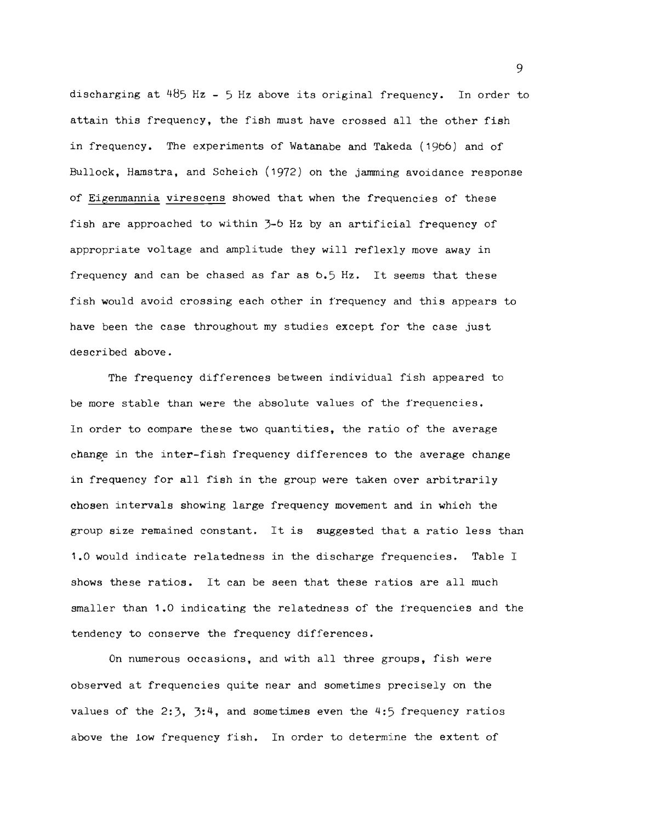discharging at  $485$  Hz - 5 Hz above its original frequency. In order to attain this frequency, the fish must have crossed all the other fish in frequency. The experiments of Watanabe and Takeda *(19b6)* and of Bullock, Hamstra, and Scheich (1972) on the jamming avoidance response of Eigenmannia virescens showed that when the frequencies of these fish are approached to within *3-b* Hz by an artificial frequency of appropriate voltage and amplitude they will reflexly move away in frequency and can be chased as far as *b.5* Hz. It seems that these fish would avoid crossing each other in frequency and this appears to have been the case throughout my studies except for the case just described above. discharging at 485 Hz - 5 Hz above its original frequency. In order that<br>tain this frequency, the fish must have crossed all the other fish<br>in frequency. The experiments of Watanabe and Takeda (1966) and of<br>Bullock, Hamstr

The frequency differences between individual fish appeared to be more stable than were the absolute values of the frequencies. In order to compare these two quantities, the ratio of the average change in the inter-fish frequency differences to the average change in frequency for all fish in the group were taken over arbitrarily chosen intervals showing large frequency movement and in which the group size remained constant. It is suggested that a ratio less than 1.0 would indicate relatedness in the discharge frequencies. Table I shows these ratios. It can be seen that these ratios are all much smaller than 1.0 indicating the relatedness of the frequencies and the tendency to conserve the frequency differences. fish frequency differences to the average change.<br>
fish in the group were taken over arbitrarily<br>
wwing large frequency movement and in which the<br>
constant. It is suggested that a ratio less ti<br>
relatedness in the discharg

On numerous occasions, and with all three groups, fish were observed at frequencies quite near and sometimes precisely on the values of the 2:3, 3:4, and sometimes even the 4:5 frequency ratios above the low frequency fish. In order to determine the extent of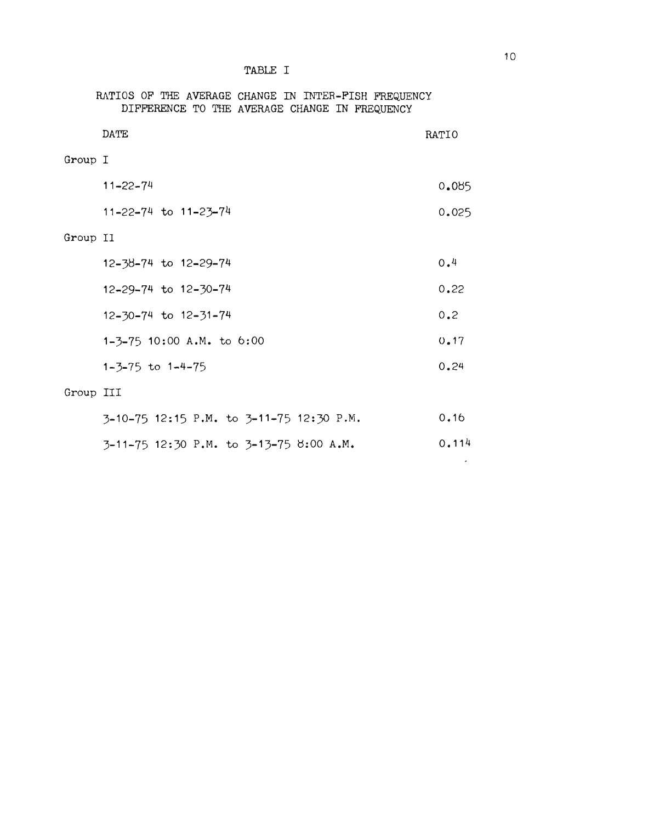## TABLE I

|           | RATIOS OF THE AVERAGE CHANGE IN INTER-FISH FREQUENCY<br>DIFFERENCE TO THE AVERAGE CHANGE IN FREQUENCY |       |
|-----------|-------------------------------------------------------------------------------------------------------|-------|
|           | DATE                                                                                                  | RATIO |
| Group I   |                                                                                                       |       |
|           | $11 - 22 - 74$                                                                                        | 0.085 |
|           | 11-22-74 to 11-23-74                                                                                  | 0.025 |
| Group II  |                                                                                                       |       |
|           | 12-38-74 to 12-29-74                                                                                  | 0.4   |
|           | 12-29-74 to 12-30-74                                                                                  | 0.22  |
|           | 12-30-74 to 12-31-74                                                                                  | 0.2   |
|           | $1-3-75$ 10:00 A.M. to 6:00                                                                           | 0.17  |
|           | $1 - 3 - 75$ to $1 - 4 - 75$                                                                          | 0.24  |
| Group III |                                                                                                       |       |
|           | 3-10-75 12:15 P.M. to 3-11-75 12:30 P.M.                                                              | 0.16  |
|           | 3-11-75 12:30 P.M. to 3-13-75 8:00 A.M.                                                               | 0.114 |

| 3-11-75 12:30 P.M. to 3-13-75 8:00 A.M. |  |  | 0.114 |
|-----------------------------------------|--|--|-------|
|-----------------------------------------|--|--|-------|

 $\sim 10^4$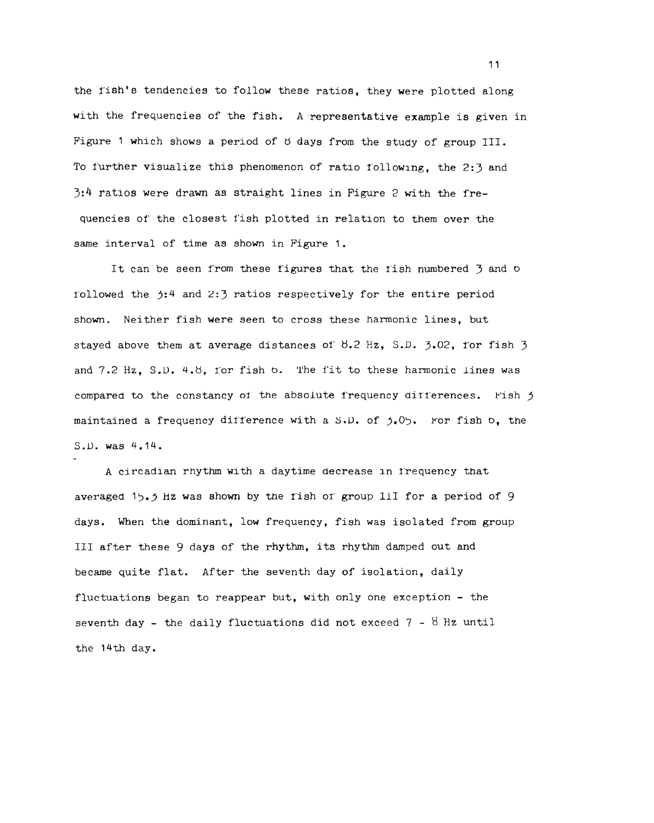the fish's tendencies to follow these ratios, they were plotted along the fish's tendencies to follow these ratios, they were plotted along<br>with the frequencies of the fish. A representative example is given in Figure 1 which shows a period of  $\sigma$  days from the study of group III.<br>To further visualize this phenomenon of ratio following, the 2:3 and<br>3:4 ratios were drawn as straight lines in Figure 2 with the fre-To further visualize this phenomenon of ratio t'ollowing, the 2:3 and  $3:4$  ratios were drawn as straight lines in Figure 2 with the frequencies of' the closest fish plotted in relation to them over the same interval of time as shown in Figure 1. It can be seen from these figures that the fish numbered 3 and 0 of the seen from these figures that the fish numbered 3 and 0

rollowed the *j*:4 and 2:3 ratios respectively for the entire period<br>shown. Neither fish were seen to cross these harmonic lines, but<br>stayed above them at average distances of 8.2 Hz, S.D. 3.02, for fish 3 shown. Neither fish were seen to cross these harmonic lines, but stayed above them at average distances of  $\frac{1}{2}$ ,  $\frac{1}{2}$ ,  $\frac{1}{2}$ ,  $\frac{1}{2}$ ,  $\frac{1}{2}$ ,  $\frac{1}{2}$ ,  $\frac{1}{2}$ and  $7.2$  Hz,  $S.D.$  4.8, for fish  $o.$  The fit to these harmonic lines was compared to the constancy of the absolute frequency differences. Fish  $j$ maintained a frequency difference with a  $S.D.$  of  $j.05$ . For fish  $o.$  the S.D. was 4.14.

A circadian rhythm with a daytime decrease in irequency that averaged  $15.5$  Hz was shown by the fish of group III for a period of 9 days. When the dominant, low frequency, fish was isolated from group III after these 9 days of the rhythm, its rhythm damped out and became quite flat. After the seventh day of isolation, daily fluctuations began to reappear but, with only one exception - the seventh day - the daily fluctuations did not exceed  $7 - 8$  Hz until the 14th day. maintained a frequency difference with a S.D. of 5.05. For fish b, the S.D. was 4.14.<br>A circadian rhythm with a daytime decrease in frequency that averaged 15.5 Hz was shown by the fish of group llI for a period of 9 days.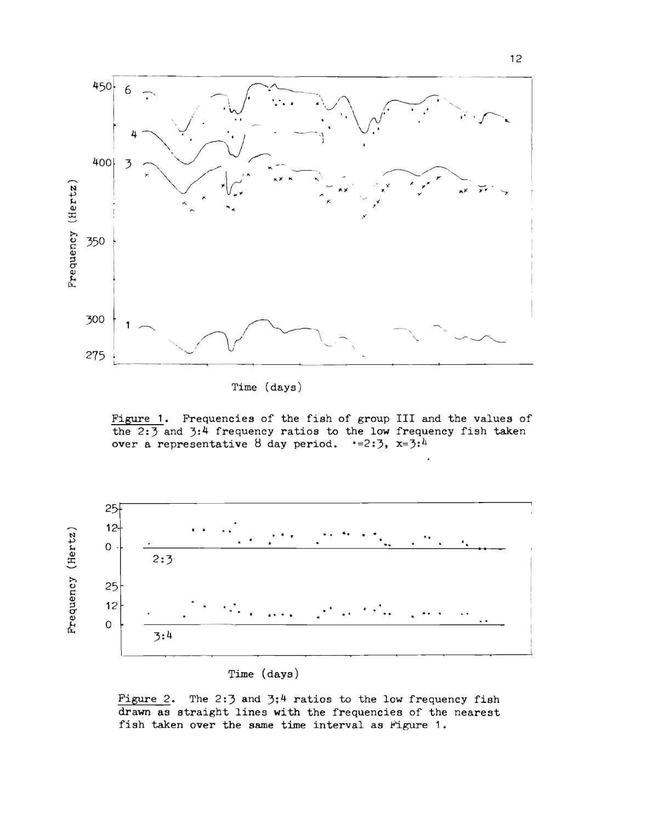

Figure 1. Frequencies of the fish of group III and the values of the  $2:3$  and  $3:4$  frequency ratios to the low frequency fish taken over a representative  $8$  day period.  $\cdot$ =2:3, x=3:4



Time (days)

Figure 2. The 2:3 and  $3;4$  ratios to the low frequency fish drawn as straight lines with the frequencies of the nearest irawn as straight lines with the frequencies of the<br>fish taken over the same time interval as Figure 1.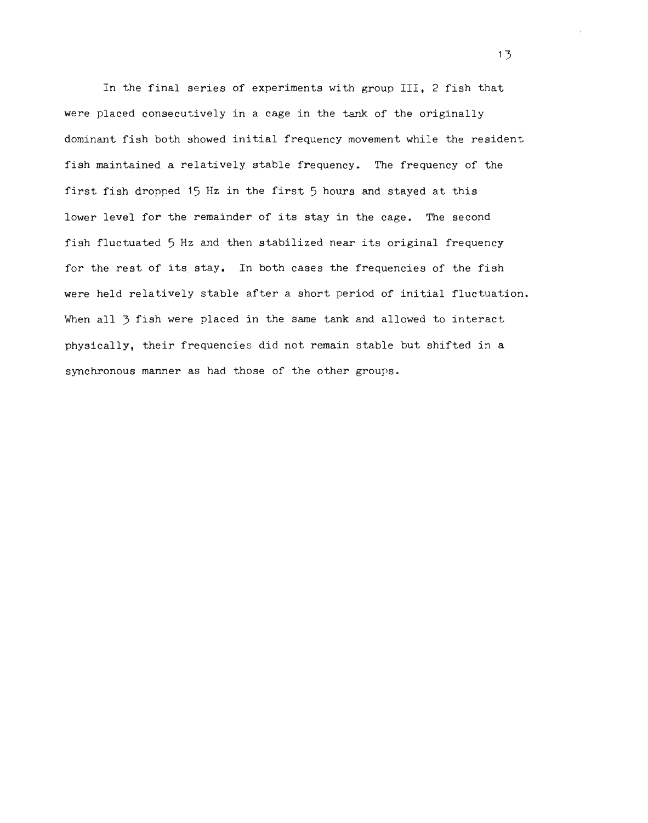In the final series of experiments with group III, 2 fish that were placed consecutively in a cage in the tank of the originally dominant fish both showed initial frequency movement while the resident fish maintained a relatively stable frequency. The frequency of the first fish dropped 15 Hz in the first 5 hours and stayed at this lower level for the remainder of its stay in the cage. The second fish fluctuated 5 Hz and then stabilized near its original frequency for the rest of its stay. In both cases the frequencies of the fish were held relatively stable after a short period of initial fluctuation. When all 3 fish were placed in the same tank and allowed to interact For the rest of its stay. In both cases the frequencies of the fish<br>were held relatively stable after a short period of initial fluctuati<br>when all 3 fish were placed in the same tank and allowed to interact<br>physically, the synchronous manner as had those of the other groups.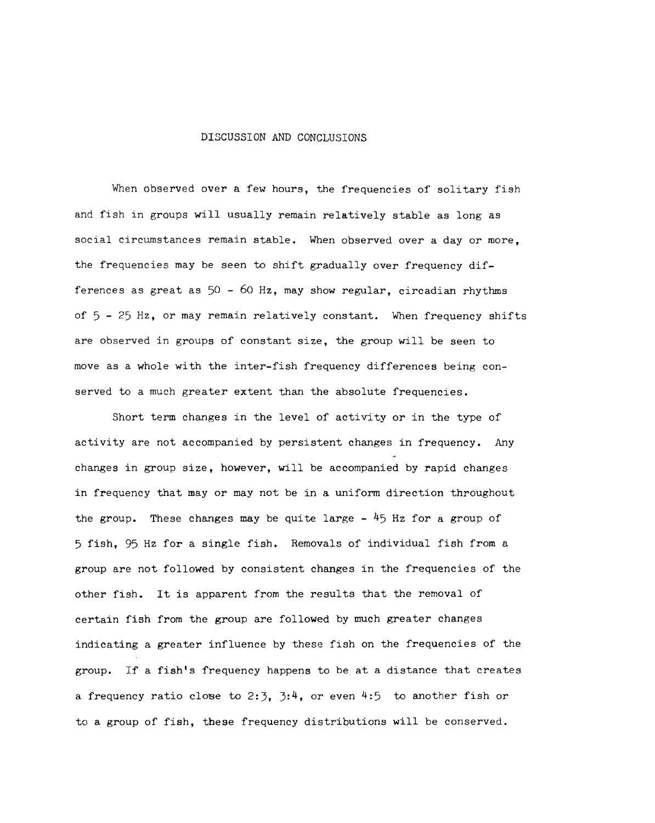#### DISCUSSION AND CONCLUSIONS

When observed over a few hours, the frequencies of solitary fish and fish in groups will usually remain relatively stable as long as social circumstances remain stable. When observed over a day or more, the frequencies may be seen to shift gradually over frequency differences as great as  $50 - 60$  Hz, may show regular, circadian rhythms of 5 - 25 Hz, or may remain relatively constant. When frequency shifts are observed in groups of constant size, the group will be seen to move as a whole with the inter-fish frequency differences being conserved to a much greater extent than the absolute frequencies. ences as great as  $50 - 60$  Hz, may<br> $5 - 25$  Hz, or may remain relativel<br>observed in groups of constant si

Short term changes in the level of activity or in the type of activity are not accompanied by persistent changes in frequency. Any changes in group size, however, will be accompanied by rapid changes in frequency that mayor may not be in a uniform direction throughout the group. These changes may be quite large  $-$  45 Hz for a group of 5 fish, 95 Hz for a single fish. Removals of individual fish from a group are not followed by consistent changes in the frequencies of the other fish. It is apparent from the results that the removal of certain fish from the group are followed by much greater changes indicating a greater influence by these fish on the frequencies of the group. If a fish's frequency happens to be at a distance that creates a frequency ratio close to 2:3,  $3:4$ , or even  $4:5$  to another fish or to a group of fish, these frequency distributions will be conserved. Short term changes in the level of activity<br>ivity are not accompanied by persistent changes<br>nges in group size, however, will be accompanie<br>frequency that may or may not be in a uniform d<br>group. These changes may be quite Collowed by consistent changes in the frequencies of<br>is apparent from the results that the removal of<br>com the group are followed by much greater changes<br>reater influence by these fish on the frequencies of<br>ish's frequency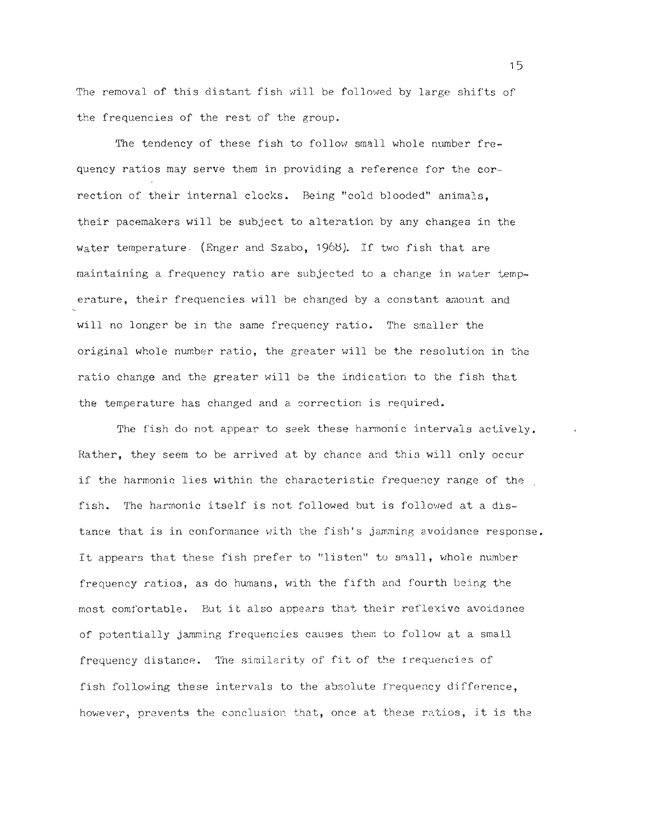The removal of this distant fish will be followed by large shifts of<br>the frequencies of the rest of the group.<br>The tendency of these fish to follow small whole number frethe frequencies of the rest of the group.

The tendency of these fish to follow small whole number frequency ratios may serve them in providing a reference for the correction of their internal clocks. Being "cold blooded" animals. their pacemakers will be subject to alteration by any changes in the quency ratios may serve them in providing a reference for the cor<br>rection of their internal clocks. Being "cold blooded" animals,<br>their pacemakers will be subject to alteration by any changes in<br>water temperature. (Enger a uaintaining a frequency ratio are subjected to a change in water temperature, their frequencies will be changed by a constant amount and will no longer be in the same frequency ratio. The smaller the original whole number ratio, the greater will be the resolution in the ratio change and the greater will be the indication to the fish that the temperature has changed and a correction is required.

The fish do not appear to seek these harmonic intervals actively. Rather, they seem to be arrived at by chance and this will only occur if the harmonic lies within the characteristic frequency range of the fish. The harmonic itself is not followed but is followed at a distance that is in conformance with the fish's jamming avoidance response. It appears that these fish prefer to "listen" to small, whole number frequency ratios, as do humans, with the fifth and fourth being the most comfortable. But it also appears that their reflexive avoidance of potentially jamming frequencies causes them to follow at a small frequency distance. The similarity of fit of the frequencies of fish following these intervals to the absolute frequency difference, however, prevents the conclusion that, once at these ratios, it is the ill no longer be in the same frequency ratio. The smaller the<br>priginal whole number ratio, the greater will be the resolution in the<br>ratio change and the greater will be the indication to the fish that<br>the temperature has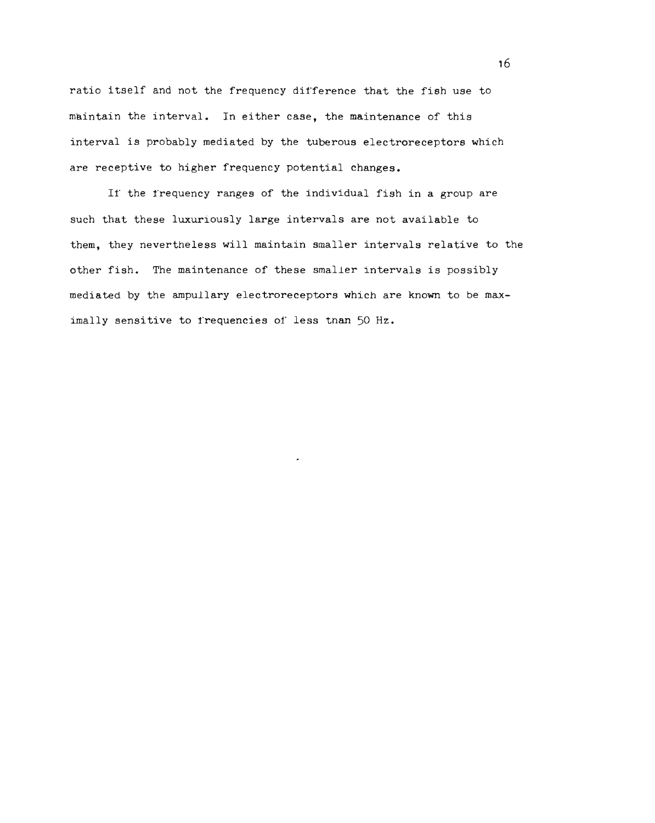ratio itself and not the frequency difference that the fish use to maintain the interval. In either case, the maintenance of this interval is probably mediated by the tuberous electroreceptors which are receptive to higher frequency potential changes. itself and not the frequency difference that the fish use t<br>ain the interval. In either case, the maintenance of this<br>val is probably mediated by the tuberous electroreceptors where<br>eptive to higher frequency potential cha

If the frequency ranges of the individual fish in a group are such that these luxuriously large intervals are not available to them, they nevertheless will maintain smaller intervals relative to the other fish. The maintenance of these smaller intervals is possibly nediated by the ampullary electroreceptors which are known to be maximally sensitive to irequencies of less tnan 50 Hz.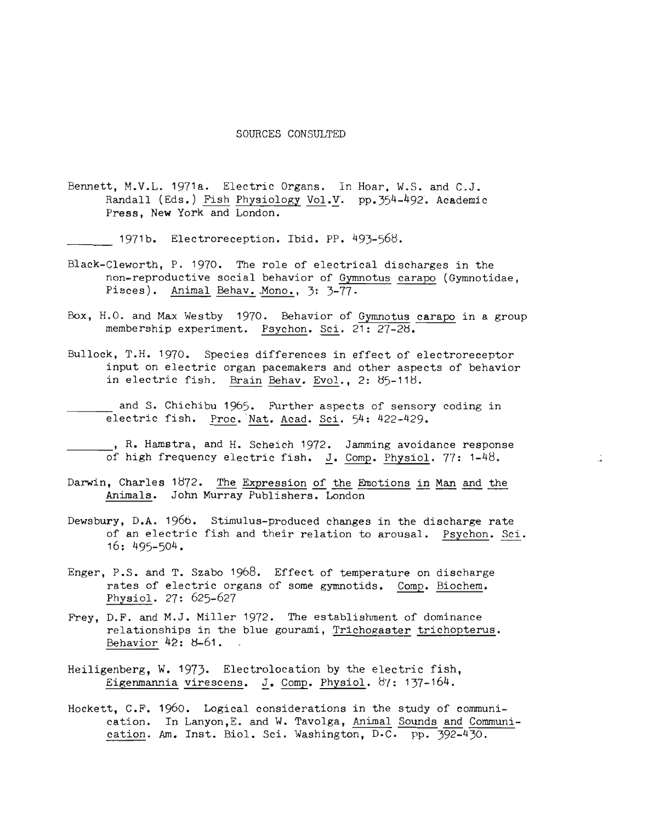### SOURCES CONSULTED

Bennett, M.V.L. 1971a. Electric Organs. In Hoar. W.S. and C.J. Randall (Eds.) Fish Physiology Vol.V. pp.354-492. Academic Press, New York and London. 1971a. Electric Organs. In Hoar,<br>
is.) <u>Fish Physiology Vol</u>. V. pp.35<sup>1</sup><br>
York and London.<br>
Electroreception. Ibid. PP. 493-568<br>
P. 1970. The role of electrical d:<br>
active social behavior of <u>Gymnotus</u><br>
Animal Behav. Mono

1971b. Electroreception. Ibid. PP. 493-568.

- Black-Cleworth, P. 1970. The role of electrical discharges in the non-reproductive social behavior of Gymnotus carapo (Gymnotidae, Pisces). Animal Behav. Mono., 3: 3-77.
- Box, H.O. and Max Westby 1970. Behavior of Gymnotus carapo in a group membership experiment. Psychon. Sci.  $21: 27-28$ .
- Bullock, T.H. 1970. Species differences in effect of electroreceptor input on electric organ pacemakers and other aspects of behavior in electric fish. Brain Behav. Evol., 2: 85-118.
- and S. Chichibu 1965. Further aspects of sensory coding in electric fish. Proc. Nat. Acad. Sci. 54: 422-429.

R. Hamstra, and H. Scheich 1972. Jamming avoidance response.<br>1972. Jamming avoidance response of high frequency electric fish. J. Comp. Physiol. 77: 1-48. of high frequency electric fish. J. Comp. Physiol. 77: 1-48.

- Darwin, Charles 1872. The Expression of the Emotions in Man and the Animals. John Murray Publishers. London electric fish. <u>Proc. Nat. Acad. Sci</u>. 54: 422-429.<br>
, R. Hamstra, and H. Scheich 1972. Jamming avoidance response<br>
of high frequency electric fish. <u>J</u>. Comp. Physiol. 77: 1-48.<br>
Darwin, Charles 1872. The Expression of th
- Dewsbury, D.A. 1966. Stimulus-produced changes in the discharge rate of an electric fish and their relation to arousal. Psychon. Sci. 16: 495-504.
- Enger, P.S. and T. Szabo 1968. Effect of temperature on discharge rates of electric organs of some gymnotids. Comp. Biochem. Physiol. 27: 625-627
- Frey, D.F. and M.J. Miller 1972. The establishment of dominance Physiol. 27: 625–627<br>D.F. and M.J. Miller 1972. The establishment of dominance<br>relationships in the blue gourami, <u>Trichogaster trichopterus</u>. Behavior 42: 8-61.
- Heiligenberg, W. 1973. Electrolocation by the electric fish, Eigenmannia virescens. J. Comp. Physiol.  $8'$ : 137-164. Eigenmannia virescens. J. Comp. Physiol. 87: 137-164.<br>Hockett, C.F. 1960. Logical considerations in the study of communi-
- cation. In Lanyon, E. and W. Tavolga, Animal Sounds and Communieation. Am. Inst. Biol. Sci. Washington, D.C. pp. 392-430.